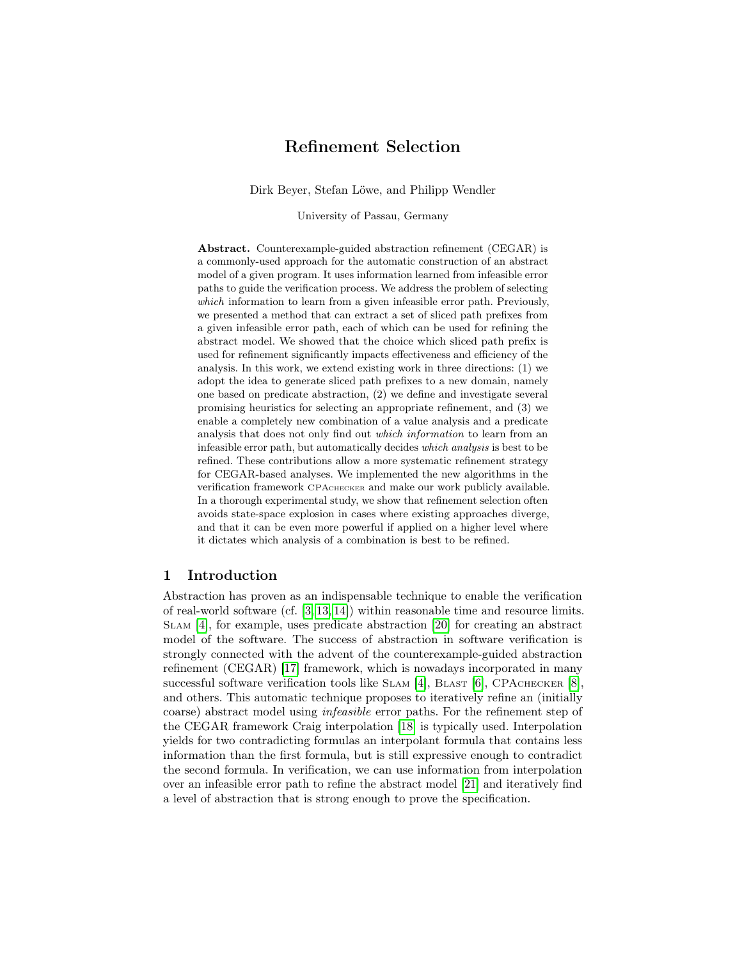# Refinement Selection

Dirk Beyer, Stefan Löwe, and Philipp Wendler

University of Passau, Germany

Abstract. Counterexample-guided abstraction refinement (CEGAR) is a commonly-used approach for the automatic construction of an abstract model of a given program. It uses information learned from infeasible error paths to guide the verification process. We address the problem of selecting which information to learn from a given infeasible error path. Previously, we presented a method that can extract a set of sliced path prefixes from a given infeasible error path, each of which can be used for refining the abstract model. We showed that the choice which sliced path prefix is used for refinement significantly impacts effectiveness and efficiency of the analysis. In this work, we extend existing work in three directions: (1) we adopt the idea to generate sliced path prefixes to a new domain, namely one based on predicate abstraction, (2) we define and investigate several promising heuristics for selecting an appropriate refinement, and (3) we enable a completely new combination of a value analysis and a predicate analysis that does not only find out which information to learn from an infeasible error path, but automatically decides which analysis is best to be refined. These contributions allow a more systematic refinement strategy for CEGAR-based analyses. We implemented the new algorithms in the verification framework CPAchecker and make our work publicly available. In a thorough experimental study, we show that refinement selection often avoids state-space explosion in cases where existing approaches diverge, and that it can be even more powerful if applied on a higher level where it dictates which analysis of a combination is best to be refined.

#### 1 Introduction

Abstraction has proven as an indispensable technique to enable the verification of real-world software (cf. [\[3,](#page-17-0) [13,](#page-17-1) [14\]](#page-17-2)) within reasonable time and resource limits. Slam [\[4\]](#page-17-3), for example, uses predicate abstraction [\[20\]](#page-17-4) for creating an abstract model of the software. The success of abstraction in software verification is strongly connected with the advent of the counterexample-guided abstraction refinement (CEGAR) [\[17\]](#page-17-5) framework, which is nowadays incorporated in many successful software verification tools like SLAM [\[4\]](#page-17-3), BLAST  $[6]$ , CPACHECKER  $[8]$ . and others. This automatic technique proposes to iteratively refine an (initially coarse) abstract model using infeasible error paths. For the refinement step of the CEGAR framework Craig interpolation [\[18\]](#page-17-8) is typically used. Interpolation yields for two contradicting formulas an interpolant formula that contains less information than the first formula, but is still expressive enough to contradict the second formula. In verification, we can use information from interpolation over an infeasible error path to refine the abstract model [\[21\]](#page-17-9) and iteratively find a level of abstraction that is strong enough to prove the specification.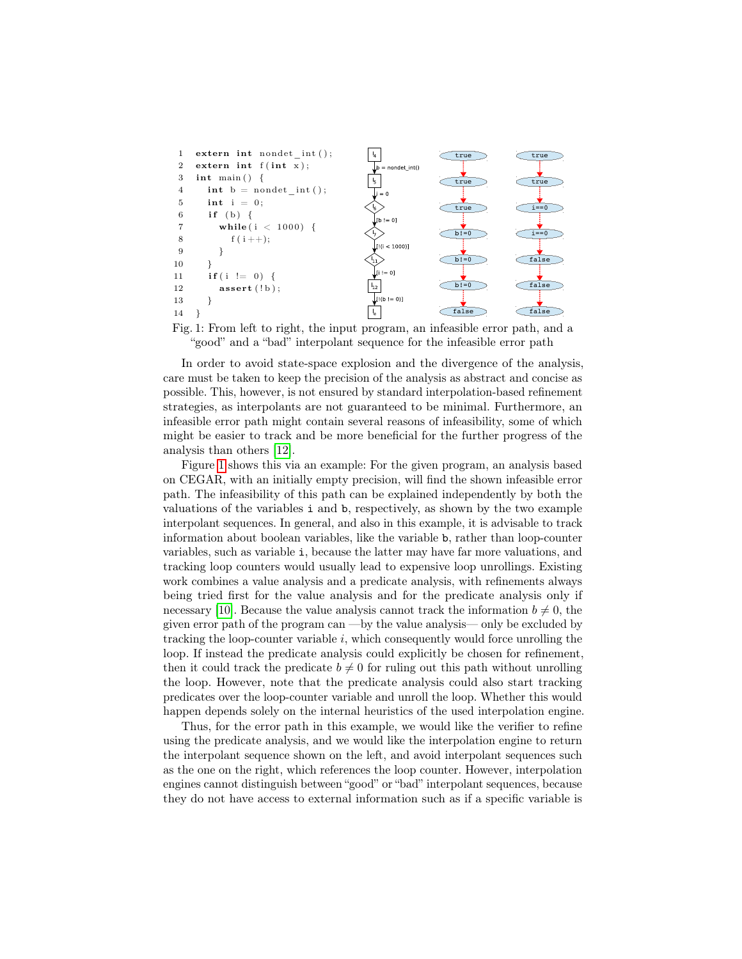<span id="page-1-0"></span>



In order to avoid state-space explosion and the divergence of the analysis, care must be taken to keep the precision of the analysis as abstract and concise as possible. This, however, is not ensured by standard interpolation-based refinement strategies, as interpolants are not guaranteed to be minimal. Furthermore, an infeasible error path might contain several reasons of infeasibility, some of which might be easier to track and be more beneficial for the further progress of the analysis than others [\[12\]](#page-17-10).

Figure [1](#page-1-0) shows this via an example: For the given program, an analysis based on CEGAR, with an initially empty precision, will find the shown infeasible error path. The infeasibility of this path can be explained independently by both the valuations of the variables i and b, respectively, as shown by the two example interpolant sequences. In general, and also in this example, it is advisable to track information about boolean variables, like the variable b, rather than loop-counter variables, such as variable i, because the latter may have far more valuations, and tracking loop counters would usually lead to expensive loop unrollings. Existing work combines a value analysis and a predicate analysis, with refinements always being tried first for the value analysis and for the predicate analysis only if necessary [\[10\]](#page-17-11). Because the value analysis cannot track the information  $b \neq 0$ , the given error path of the program can —by the value analysis— only be excluded by tracking the loop-counter variable  $i$ , which consequently would force unrolling the loop. If instead the predicate analysis could explicitly be chosen for refinement, then it could track the predicate  $b \neq 0$  for ruling out this path without unrolling the loop. However, note that the predicate analysis could also start tracking predicates over the loop-counter variable and unroll the loop. Whether this would happen depends solely on the internal heuristics of the used interpolation engine.

Thus, for the error path in this example, we would like the verifier to refine using the predicate analysis, and we would like the interpolation engine to return the interpolant sequence shown on the left, and avoid interpolant sequences such as the one on the right, which references the loop counter. However, interpolation engines cannot distinguish between "good" or "bad" interpolant sequences, because they do not have access to external information such as if a specific variable is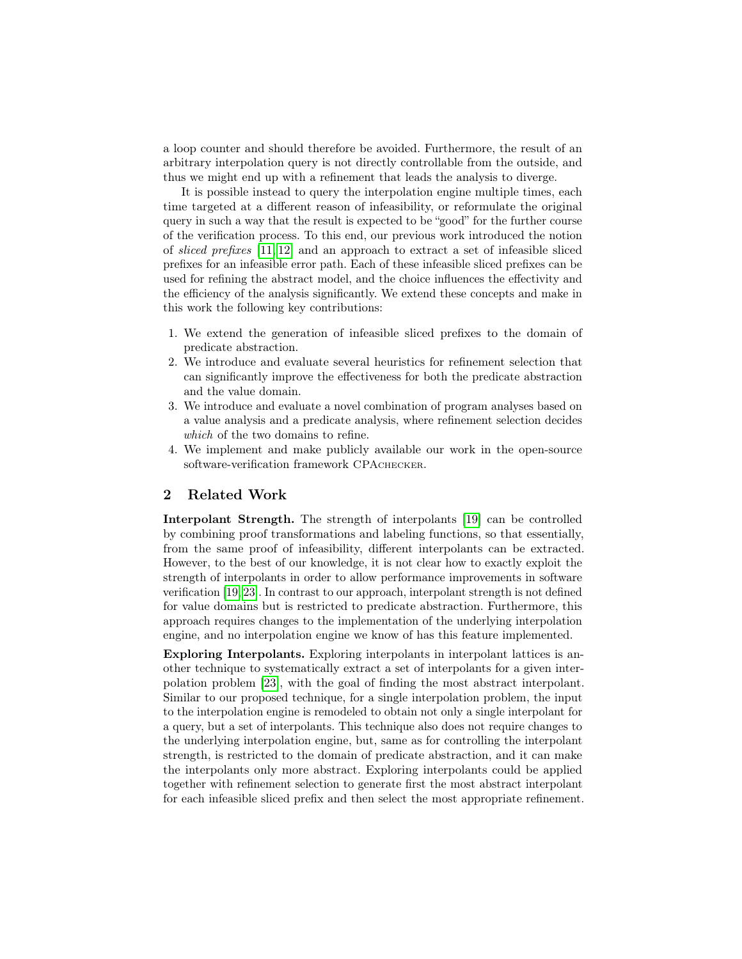a loop counter and should therefore be avoided. Furthermore, the result of an arbitrary interpolation query is not directly controllable from the outside, and thus we might end up with a refinement that leads the analysis to diverge.

It is possible instead to query the interpolation engine multiple times, each time targeted at a different reason of infeasibility, or reformulate the original query in such a way that the result is expected to be "good" for the further course of the verification process. To this end, our previous work introduced the notion of sliced prefixes [\[11,](#page-17-12) [12\]](#page-17-10) and an approach to extract a set of infeasible sliced prefixes for an infeasible error path. Each of these infeasible sliced prefixes can be used for refining the abstract model, and the choice influences the effectivity and the efficiency of the analysis significantly. We extend these concepts and make in this work the following key contributions:

- 1. We extend the generation of infeasible sliced prefixes to the domain of predicate abstraction.
- 2. We introduce and evaluate several heuristics for refinement selection that can significantly improve the effectiveness for both the predicate abstraction and the value domain.
- 3. We introduce and evaluate a novel combination of program analyses based on a value analysis and a predicate analysis, where refinement selection decides which of the two domains to refine.
- 4. We implement and make publicly available our work in the open-source software-verification framework CPACHECKER.

### 2 Related Work

Interpolant Strength. The strength of interpolants [\[19\]](#page-17-13) can be controlled by combining proof transformations and labeling functions, so that essentially, from the same proof of infeasibility, different interpolants can be extracted. However, to the best of our knowledge, it is not clear how to exactly exploit the strength of interpolants in order to allow performance improvements in software verification [\[19,](#page-17-13) [23\]](#page-17-14). In contrast to our approach, interpolant strength is not defined for value domains but is restricted to predicate abstraction. Furthermore, this approach requires changes to the implementation of the underlying interpolation engine, and no interpolation engine we know of has this feature implemented.

Exploring Interpolants. Exploring interpolants in interpolant lattices is another technique to systematically extract a set of interpolants for a given interpolation problem [\[23\]](#page-17-14), with the goal of finding the most abstract interpolant. Similar to our proposed technique, for a single interpolation problem, the input to the interpolation engine is remodeled to obtain not only a single interpolant for a query, but a set of interpolants. This technique also does not require changes to the underlying interpolation engine, but, same as for controlling the interpolant strength, is restricted to the domain of predicate abstraction, and it can make the interpolants only more abstract. Exploring interpolants could be applied together with refinement selection to generate first the most abstract interpolant for each infeasible sliced prefix and then select the most appropriate refinement.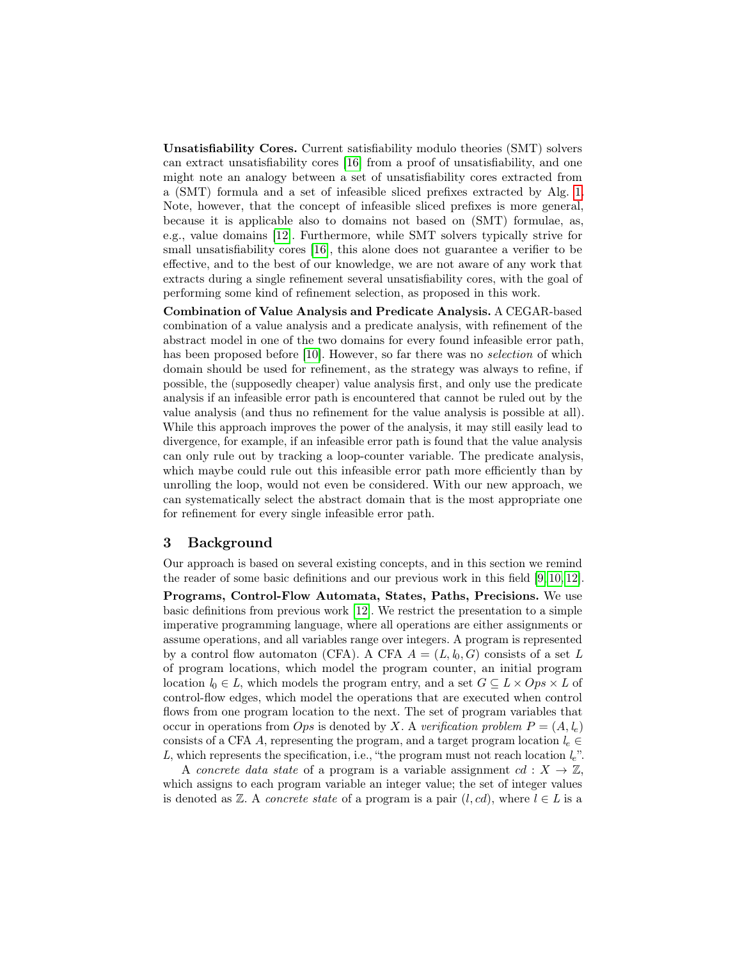Unsatisfiability Cores. Current satisfiability modulo theories (SMT) solvers can extract unsatisfiability cores [\[16\]](#page-17-15) from a proof of unsatisfiability, and one might note an analogy between a set of unsatisfiability cores extracted from a (SMT) formula and a set of infeasible sliced prefixes extracted by Alg. [1.](#page-5-0) Note, however, that the concept of infeasible sliced prefixes is more general, because it is applicable also to domains not based on (SMT) formulae, as, e.g., value domains [\[12\]](#page-17-10). Furthermore, while SMT solvers typically strive for small unsatisfiability cores [\[16\]](#page-17-15), this alone does not guarantee a verifier to be effective, and to the best of our knowledge, we are not aware of any work that extracts during a single refinement several unsatisfiability cores, with the goal of performing some kind of refinement selection, as proposed in this work.

Combination of Value Analysis and Predicate Analysis. A CEGAR-based combination of a value analysis and a predicate analysis, with refinement of the abstract model in one of the two domains for every found infeasible error path, has been proposed before [\[10\]](#page-17-11). However, so far there was no *selection* of which domain should be used for refinement, as the strategy was always to refine, if possible, the (supposedly cheaper) value analysis first, and only use the predicate analysis if an infeasible error path is encountered that cannot be ruled out by the value analysis (and thus no refinement for the value analysis is possible at all). While this approach improves the power of the analysis, it may still easily lead to divergence, for example, if an infeasible error path is found that the value analysis can only rule out by tracking a loop-counter variable. The predicate analysis, which maybe could rule out this infeasible error path more efficiently than by unrolling the loop, would not even be considered. With our new approach, we can systematically select the abstract domain that is the most appropriate one for refinement for every single infeasible error path.

#### 3 Background

Our approach is based on several existing concepts, and in this section we remind the reader of some basic definitions and our previous work in this field [\[9,](#page-17-16) [10,](#page-17-11) [12\]](#page-17-10).

Programs, Control-Flow Automata, States, Paths, Precisions. We use basic definitions from previous work [\[12\]](#page-17-10). We restrict the presentation to a simple imperative programming language, where all operations are either assignments or assume operations, and all variables range over integers. A program is represented by a control flow automaton (CFA). A CFA  $A = (L, l_0, G)$  consists of a set L of program locations, which model the program counter, an initial program location  $l_0 \in L$ , which models the program entry, and a set  $G \subseteq L \times Ops \times L$  of control-flow edges, which model the operations that are executed when control flows from one program location to the next. The set of program variables that occur in operations from *Ops* is denoted by X. A verification problem  $P = (A, l_e)$ consists of a CFA A, representing the program, and a target program location  $l_e \in$ L, which represents the specification, i.e., "the program must not reach location  $l_e$ ".

A concrete data state of a program is a variable assignment cd :  $X \to \mathbb{Z}$ , which assigns to each program variable an integer value; the set of integer values is denoted as  $\mathbb{Z}$ . A *concrete state* of a program is a pair  $(l, cd)$ , where  $l \in L$  is a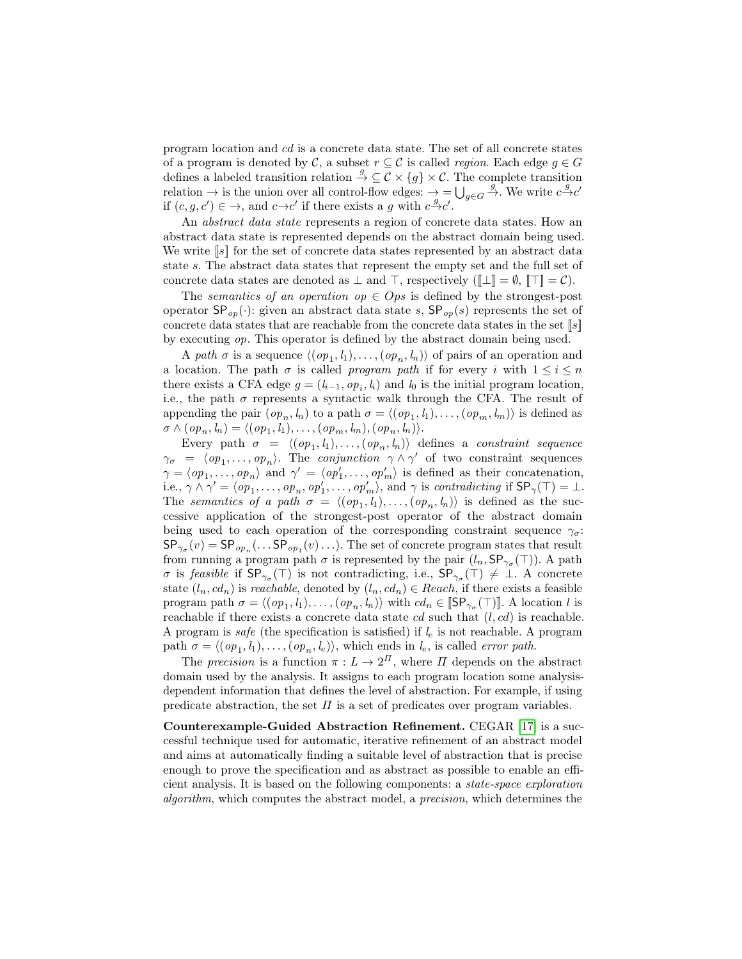program location and cd is a concrete data state. The set of all concrete states of a program is denoted by C, a subset  $r \subseteq \mathcal{C}$  is called *region*. Each edge  $g \in G$ defines a labeled transition relation  $\stackrel{g}{\rightarrow} \subseteq \mathcal{C} \times \{g\} \times \mathcal{C}$ . The complete transition relation  $\rightarrow$  is the union over all control-flow edges:  $\rightarrow$  =  $\bigcup_{g\in G}\stackrel{g}{\rightarrow}$ . We write  $c\stackrel{g}{\rightarrow}c'$ if  $(c, g, c') \in \rightarrow$ , and  $c \rightarrow c'$  if there exists a g with  $c \rightarrow c'$ .

An abstract data state represents a region of concrete data states. How an abstract data state is represented depends on the abstract domain being used. We write  $[s]$  for the set of concrete data states represented by an abstract data state s. The abstract data states that represent the empty set and the full set of concrete data states are denoted as  $\perp$  and  $\top$ , respectively  $(\Vert \perp \Vert = \emptyset, \Vert \top \Vert = \mathcal{C})$ .

The semantics of an operation op  $\in \text{Ops}$  is defined by the strongest-post operator  $\mathsf{SP}_{op}(\cdot)$ : given an abstract data state s,  $\mathsf{SP}_{op}(s)$  represents the set of concrete data states that are reachable from the concrete data states in the set  $[s]$ by executing op. This operator is defined by the abstract domain being used.

A path  $\sigma$  is a sequence  $\langle (op_1, l_1), \ldots, (op_n, l_n) \rangle$  of pairs of an operation and a location. The path  $\sigma$  is called *program path* if for every i with  $1 \leq i \leq n$ there exists a CFA edge  $g = (l_{i-1}, op_i, l_i)$  and  $l_0$  is the initial program location, i.e., the path  $\sigma$  represents a syntactic walk through the CFA. The result of appending the pair  $(op_n, l_n)$  to a path  $\sigma = \langle (op_1, l_1), \ldots, (op_m, l_m) \rangle$  is defined as  $\sigma \wedge (op_n, l_n) = \langle (op_1, l_1), \ldots, (op_m, l_m), (op_n, l_n) \rangle.$ 

Every path  $\sigma = \langle (op_1, l_1), \ldots, (op_n, l_n) \rangle$  defines a *constraint sequence*  $\gamma_{\sigma} = \langle op_1, \ldots, op_n \rangle$ . The *conjunction*  $\gamma \wedge \gamma'$  of two constraint sequences  $\gamma = \langle op_1, \ldots, op_n \rangle$  and  $\gamma' = \langle op'_1, \ldots, op'_m \rangle$  is defined as their concatenation, i.e.,  $\gamma \wedge \gamma' = \langle op_1, \ldots, op_n, op'_1, \ldots, op'_m \rangle$ , and  $\gamma$  is contradicting if  $\mathsf{SP}_{\gamma}(\top) = \bot$ . The semantics of a path  $\sigma = \langle (op_1, l_1), \ldots, (op_n, l_n) \rangle$  is defined as the successive application of the strongest-post operator of the abstract domain being used to each operation of the corresponding constraint sequence  $\gamma_{\sigma}$ .  $SP_{\gamma_{\sigma}}(v) = SP_{op_n}(\dots SP_{op_1}(v) \dots)$ . The set of concrete program states that result from running a program path  $\sigma$  is represented by the pair  $(l_n, \mathsf{SP}_{\gamma_\sigma}(\top))$ . A path σ is feasible if  $SP_{\gamma_{\sigma}}(\top)$  is not contradicting, i.e.,  $SP_{\gamma_{\sigma}}(\top) \neq \bot$ . A concrete state  $(l_n, cd_n)$  is reachable, denoted by  $(l_n, cd_n) \in Reach$ , if there exists a feasible program path  $\sigma = \langle (op_1, l_1), \ldots, (op_n, l_n) \rangle$  with  $cd_n \in [\mathsf{SP}_{\gamma_\sigma}(\top)]$ . A location l is reachable if there exists a concrete data state  $cd$  such that  $(l, cd)$  is reachable. A program is safe (the specification is satisfied) if  $l_e$  is not reachable. A program path  $\sigma = \langle (op_1, l_1), \ldots, (op_n, l_e) \rangle$ , which ends in  $l_e$ , is called *error path*.

The precision is a function  $\pi : L \to 2^{\Pi}$ , where  $\Pi$  depends on the abstract domain used by the analysis. It assigns to each program location some analysisdependent information that defines the level of abstraction. For example, if using predicate abstraction, the set  $\Pi$  is a set of predicates over program variables.

Counterexample-Guided Abstraction Refinement. CEGAR [\[17\]](#page-17-5) is a successful technique used for automatic, iterative refinement of an abstract model and aims at automatically finding a suitable level of abstraction that is precise enough to prove the specification and as abstract as possible to enable an efficient analysis. It is based on the following components: a state-space exploration algorithm, which computes the abstract model, a precision, which determines the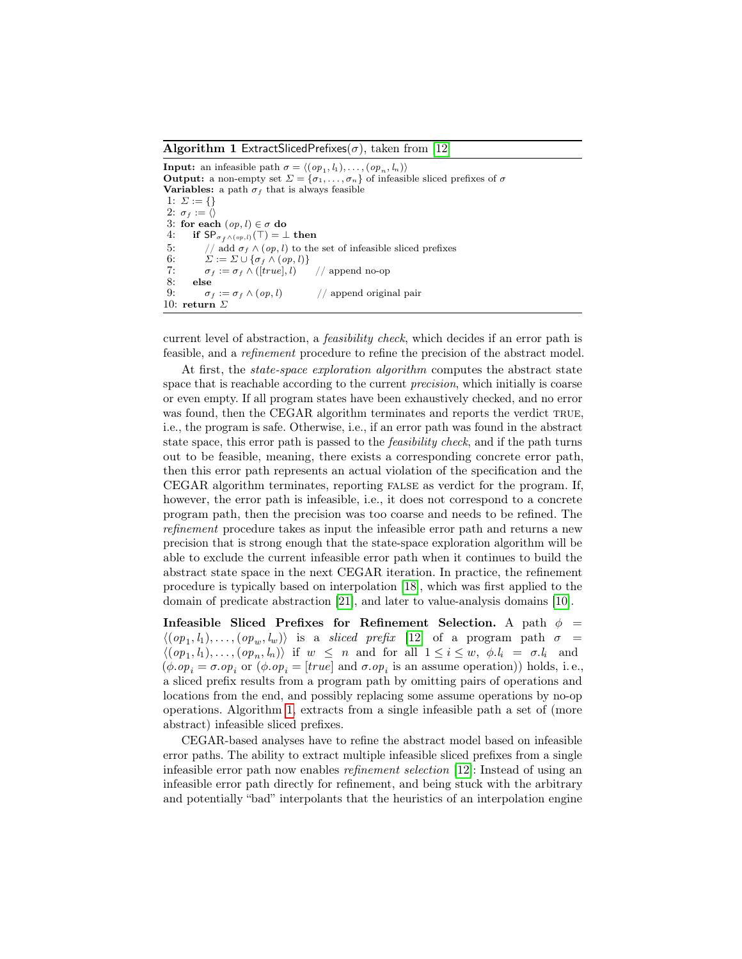<span id="page-5-0"></span>**Algorithm 1 ExtractSlicedPrefixes**( $\sigma$ ), taken from [\[12\]](#page-17-10)

**Input:** an infeasible path  $\sigma = \langle (op_1, l_1), \ldots, (op_n, l_n) \rangle$ **Output:** a non-empty set  $\Sigma = {\sigma_1, \ldots, \sigma_n}$  of infeasible sliced prefixes of  $\sigma$ Variables: a path  $\sigma_f$  that is always feasible 1:  $\Sigma := \{\}$ 2:  $\sigma_f := \langle \rangle$ 3: for each  $(op, l) \in \sigma$  do 4: if  $SP_{\sigma_f \wedge (op,l)}(\top) = \bot$  then 5: // add  $\sigma_f \wedge (op, l)$  to the set of infeasible sliced prefixes 6:  $\Sigma := \Sigma \cup \{\sigma_f \wedge (op, l)\}\$ 7:  $\sigma_f := \sigma_f \wedge ([true], l)$  // append no-op<br>8: else else 9:  $\sigma_f := \sigma_f \wedge (op, l)$  // append original pair 10: return  $\Sigma$ 

current level of abstraction, a feasibility check, which decides if an error path is feasible, and a refinement procedure to refine the precision of the abstract model.

At first, the *state-space exploration algorithm* computes the abstract state space that is reachable according to the current *precision*, which initially is coarse or even empty. If all program states have been exhaustively checked, and no error was found, then the CEGAR algorithm terminates and reports the verdict TRUE, i.e., the program is safe. Otherwise, i.e., if an error path was found in the abstract state space, this error path is passed to the *feasibility check*, and if the path turns out to be feasible, meaning, there exists a corresponding concrete error path, then this error path represents an actual violation of the specification and the CEGAR algorithm terminates, reporting false as verdict for the program. If, however, the error path is infeasible, i.e., it does not correspond to a concrete program path, then the precision was too coarse and needs to be refined. The refinement procedure takes as input the infeasible error path and returns a new precision that is strong enough that the state-space exploration algorithm will be able to exclude the current infeasible error path when it continues to build the abstract state space in the next CEGAR iteration. In practice, the refinement procedure is typically based on interpolation [\[18\]](#page-17-8), which was first applied to the domain of predicate abstraction [\[21\]](#page-17-9), and later to value-analysis domains [\[10\]](#page-17-11).

Infeasible Sliced Prefixes for Refinement Selection. A path  $\phi =$  $\langle (op_1, l_1), \ldots, (op_w, l_w) \rangle$  is a sliced prefix [\[12\]](#page-17-10) of a program path  $\sigma =$  $\langle (op_1, l_1), \ldots, (op_n, l_n) \rangle$  if  $w \leq n$  and for all  $1 \leq i \leq w, \phi, l_i = \sigma, l_i$  and  $(\phi \cdot op_i = \sigma \cdot op_i \text{ or } (\phi \cdot op_i = [true] \text{ and } \sigma \cdot op_i \text{ is an assume operation}) \text{ holds, i.e.,}$ a sliced prefix results from a program path by omitting pairs of operations and locations from the end, and possibly replacing some assume operations by no-op operations. Algorithm [1,](#page-5-0) extracts from a single infeasible path a set of (more abstract) infeasible sliced prefixes.

CEGAR-based analyses have to refine the abstract model based on infeasible error paths. The ability to extract multiple infeasible sliced prefixes from a single infeasible error path now enables refinement selection [\[12\]](#page-17-10): Instead of using an infeasible error path directly for refinement, and being stuck with the arbitrary and potentially "bad" interpolants that the heuristics of an interpolation engine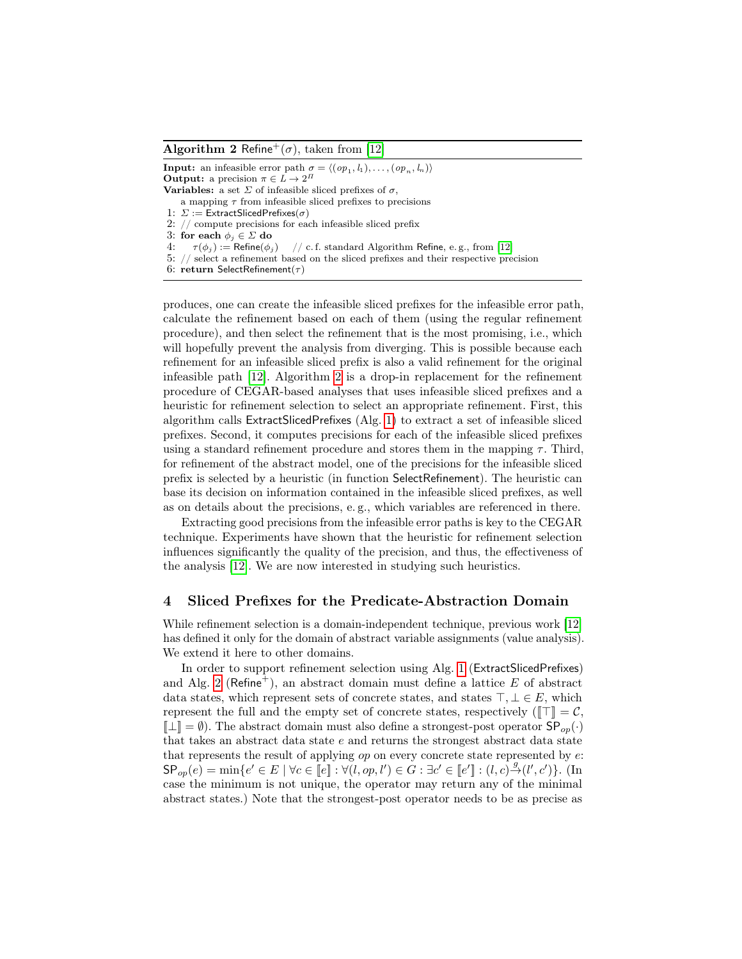#### <span id="page-6-0"></span>**Algorithm 2** Refine<sup>+</sup>( $\sigma$ ), taken from [\[12\]](#page-17-10)

**Input:** an infeasible error path  $\sigma = \langle (op_1, l_1), \ldots, (op_n, l_n) \rangle$ **Output:** a precision  $\pi \in L \to 2^{\Pi}$ **Variables:** a set  $\Sigma$  of infeasible sliced prefixes of  $\sigma$ , a mapping  $\tau$  from infeasible sliced prefixes to precisions 1:  $\Sigma :=$  ExtractSlicedPrefixes $(\sigma)$ 2: // compute precisions for each infeasible sliced prefix 3: for each  $\phi_j \in \Sigma$  do<br>4:  $\tau(\phi_j) := \text{Refine}(\phi_j)$ 4:  $\tau(\phi_j) := \text{Refine}(\phi_j)$  // c. f. standard Algorithm Refine, e.g., from [\[12\]](#page-17-10) 5: // select a refinement based on the sliced prefixes and their respective precision 6: return SelectRefinement( $\tau$ )

produces, one can create the infeasible sliced prefixes for the infeasible error path, calculate the refinement based on each of them (using the regular refinement procedure), and then select the refinement that is the most promising, i.e., which will hopefully prevent the analysis from diverging. This is possible because each refinement for an infeasible sliced prefix is also a valid refinement for the original infeasible path [\[12\]](#page-17-10). Algorithm [2](#page-6-0) is a drop-in replacement for the refinement procedure of CEGAR-based analyses that uses infeasible sliced prefixes and a heuristic for refinement selection to select an appropriate refinement. First, this algorithm calls ExtractSlicedPrefixes (Alg. [1\)](#page-5-0) to extract a set of infeasible sliced prefixes. Second, it computes precisions for each of the infeasible sliced prefixes using a standard refinement procedure and stores them in the mapping  $\tau$ . Third, for refinement of the abstract model, one of the precisions for the infeasible sliced prefix is selected by a heuristic (in function SelectRefinement). The heuristic can base its decision on information contained in the infeasible sliced prefixes, as well as on details about the precisions, e. g., which variables are referenced in there.

Extracting good precisions from the infeasible error paths is key to the CEGAR technique. Experiments have shown that the heuristic for refinement selection influences significantly the quality of the precision, and thus, the effectiveness of the analysis [\[12\]](#page-17-10). We are now interested in studying such heuristics.

#### 4 Sliced Prefixes for the Predicate-Abstraction Domain

While refinement selection is a domain-independent technique, previous work [\[12\]](#page-17-10) has defined it only for the domain of abstract variable assignments (value analysis). We extend it here to other domains.

In order to support refinement selection using Alg. [1](#page-5-0) (ExtractSlicedPrefixes) and Alg. [2](#page-6-0) (Refine<sup>+</sup>), an abstract domain must define a lattice E of abstract data states, which represent sets of concrete states, and states  $\top, \bot \in E$ , which represent the full and the empty set of concrete states, respectively ( $\llbracket \top \rrbracket = \mathcal{C}$ ,  $[\![\bot]\!] = \emptyset$ ). The abstract domain must also define a strongest-post operator  $SP_{op}(\cdot)$ that takes an abstract data state e and returns the strongest abstract data state that represents the result of applying  $op$  on every concrete state represented by  $e$ .  $\mathsf{SP}_{op}(e) = \min\{e' \in E \mid \forall c \in \llbracket e \rrbracket : \forall (l, op, l') \in G : \exists c' \in \llbracket e' \rrbracket : (l, c) \stackrel{g}{\rightarrow} (l', c')\}.$  (In case the minimum is not unique, the operator may return any of the minimal abstract states.) Note that the strongest-post operator needs to be as precise as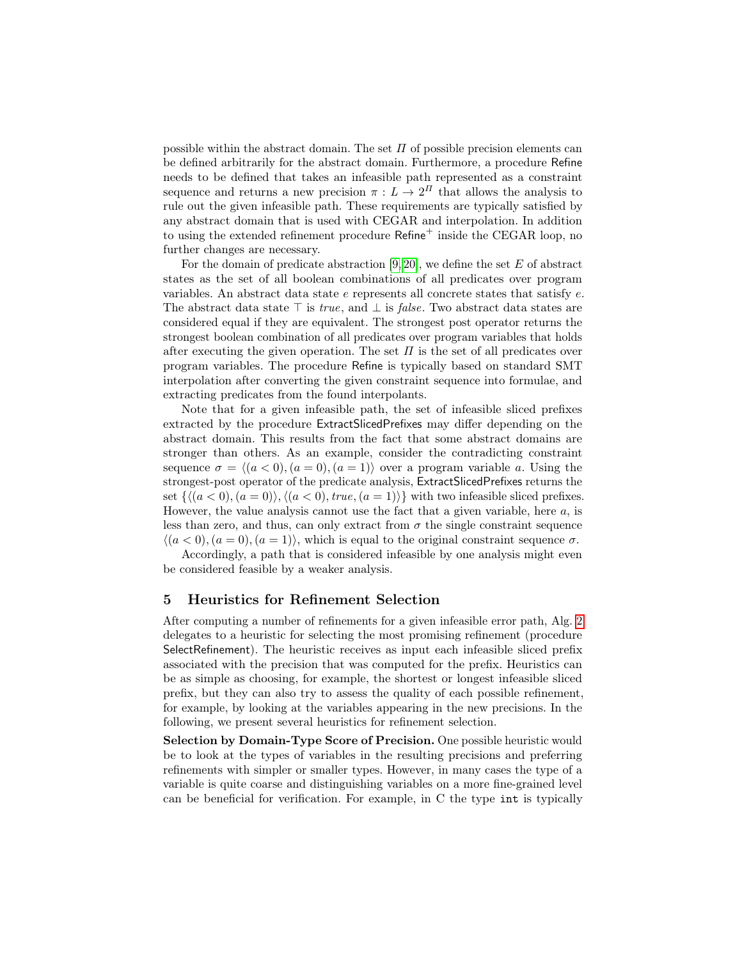possible within the abstract domain. The set  $\Pi$  of possible precision elements can be defined arbitrarily for the abstract domain. Furthermore, a procedure Refine needs to be defined that takes an infeasible path represented as a constraint sequence and returns a new precision  $\pi : L \to 2^{\Pi}$  that allows the analysis to rule out the given infeasible path. These requirements are typically satisfied by any abstract domain that is used with CEGAR and interpolation. In addition to using the extended refinement procedure Refine<sup>+</sup> inside the CEGAR loop, no further changes are necessary.

For the domain of predicate abstraction  $[9, 20]$  $[9, 20]$ , we define the set E of abstract states as the set of all boolean combinations of all predicates over program variables. An abstract data state e represents all concrete states that satisfy e. The abstract data state  $\top$  is *true*, and  $\bot$  is *false*. Two abstract data states are considered equal if they are equivalent. The strongest post operator returns the strongest boolean combination of all predicates over program variables that holds after executing the given operation. The set  $\Pi$  is the set of all predicates over program variables. The procedure Refine is typically based on standard SMT interpolation after converting the given constraint sequence into formulae, and extracting predicates from the found interpolants.

Note that for a given infeasible path, the set of infeasible sliced prefixes extracted by the procedure ExtractSlicedPrefixes may differ depending on the abstract domain. This results from the fact that some abstract domains are stronger than others. As an example, consider the contradicting constraint sequence  $\sigma = \langle (a < 0), (a = 0), (a = 1) \rangle$  over a program variable a. Using the strongest-post operator of the predicate analysis, ExtractSlicedPrefixes returns the set  $\{\langle (a < 0), (a = 0)\rangle, \langle (a < 0), true, (a = 1)\rangle\}$  with two infeasible sliced prefixes. However, the value analysis cannot use the fact that a given variable, here  $a$ , is less than zero, and thus, can only extract from  $\sigma$  the single constraint sequence  $\langle (a < 0), (a = 0), (a = 1) \rangle$ , which is equal to the original constraint sequence  $\sigma$ .

Accordingly, a path that is considered infeasible by one analysis might even be considered feasible by a weaker analysis.

#### <span id="page-7-0"></span>5 Heuristics for Refinement Selection

After computing a number of refinements for a given infeasible error path, Alg. [2](#page-6-0) delegates to a heuristic for selecting the most promising refinement (procedure SelectRefinement). The heuristic receives as input each infeasible sliced prefix associated with the precision that was computed for the prefix. Heuristics can be as simple as choosing, for example, the shortest or longest infeasible sliced prefix, but they can also try to assess the quality of each possible refinement, for example, by looking at the variables appearing in the new precisions. In the following, we present several heuristics for refinement selection.

Selection by Domain-Type Score of Precision. One possible heuristic would be to look at the types of variables in the resulting precisions and preferring refinements with simpler or smaller types. However, in many cases the type of a variable is quite coarse and distinguishing variables on a more fine-grained level can be beneficial for verification. For example, in C the type int is typically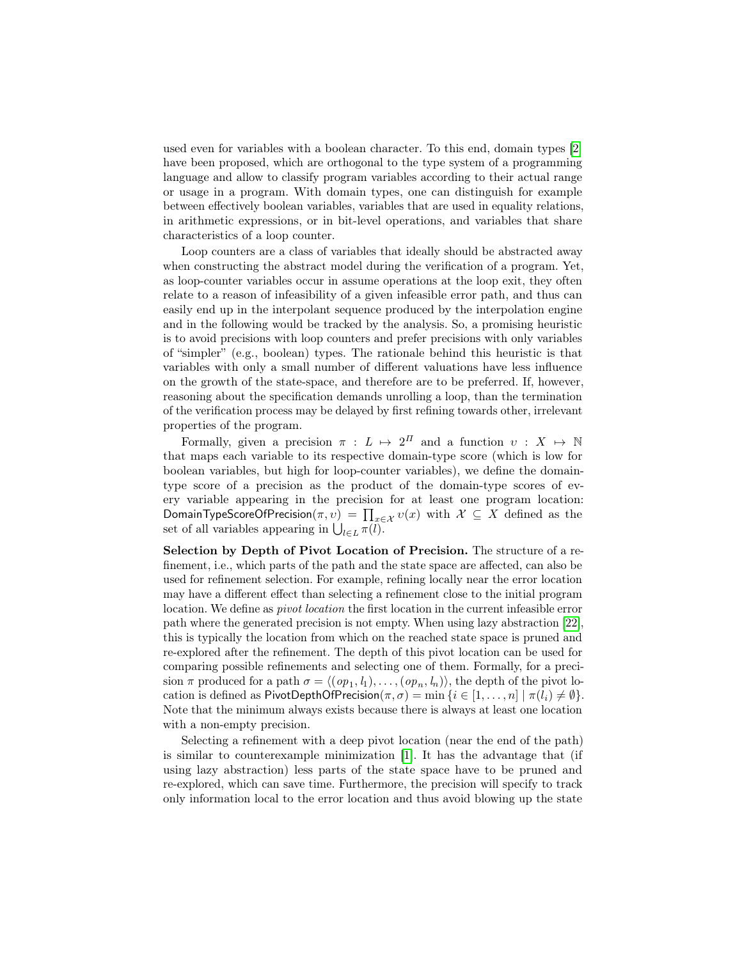used even for variables with a boolean character. To this end, domain types [\[2\]](#page-16-0) have been proposed, which are orthogonal to the type system of a programming language and allow to classify program variables according to their actual range or usage in a program. With domain types, one can distinguish for example between effectively boolean variables, variables that are used in equality relations, in arithmetic expressions, or in bit-level operations, and variables that share characteristics of a loop counter.

Loop counters are a class of variables that ideally should be abstracted away when constructing the abstract model during the verification of a program. Yet, as loop-counter variables occur in assume operations at the loop exit, they often relate to a reason of infeasibility of a given infeasible error path, and thus can easily end up in the interpolant sequence produced by the interpolation engine and in the following would be tracked by the analysis. So, a promising heuristic is to avoid precisions with loop counters and prefer precisions with only variables of "simpler" (e.g., boolean) types. The rationale behind this heuristic is that variables with only a small number of different valuations have less influence on the growth of the state-space, and therefore are to be preferred. If, however, reasoning about the specification demands unrolling a loop, than the termination of the verification process may be delayed by first refining towards other, irrelevant properties of the program.

Formally, given a precision  $\pi : L \mapsto 2^{\Pi}$  and a function  $v : X \mapsto \mathbb{N}$ that maps each variable to its respective domain-type score (which is low for boolean variables, but high for loop-counter variables), we define the domaintype score of a precision as the product of the domain-type scores of every variable appearing in the precision for at least one program location: DomainTypeScoreOfPrecision $(\pi, v) = \prod_{x \in \mathcal{X}} v(x)$  with  $\mathcal{X} \subseteq X$  defined as the set of all variables appearing in  $\bigcup_{l\in L} \pi(l)$ .

Selection by Depth of Pivot Location of Precision. The structure of a refinement, i.e., which parts of the path and the state space are affected, can also be used for refinement selection. For example, refining locally near the error location may have a different effect than selecting a refinement close to the initial program location. We define as *pivot location* the first location in the current infeasible error path where the generated precision is not empty. When using lazy abstraction [\[22\]](#page-17-17), this is typically the location from which on the reached state space is pruned and re-explored after the refinement. The depth of this pivot location can be used for comparing possible refinements and selecting one of them. Formally, for a precision  $\pi$  produced for a path  $\sigma = \langle (op_1, l_1), \ldots, (op_n, l_n) \rangle$ , the depth of the pivot location is defined as PivotDepthOfPrecision( $\pi, \sigma$ ) = min { $i \in [1, \ldots, n] \mid \pi(l_i) \neq \emptyset$ }. Note that the minimum always exists because there is always at least one location with a non-empty precision.

Selecting a refinement with a deep pivot location (near the end of the path) is similar to counterexample minimization [\[1\]](#page-16-1). It has the advantage that (if using lazy abstraction) less parts of the state space have to be pruned and re-explored, which can save time. Furthermore, the precision will specify to track only information local to the error location and thus avoid blowing up the state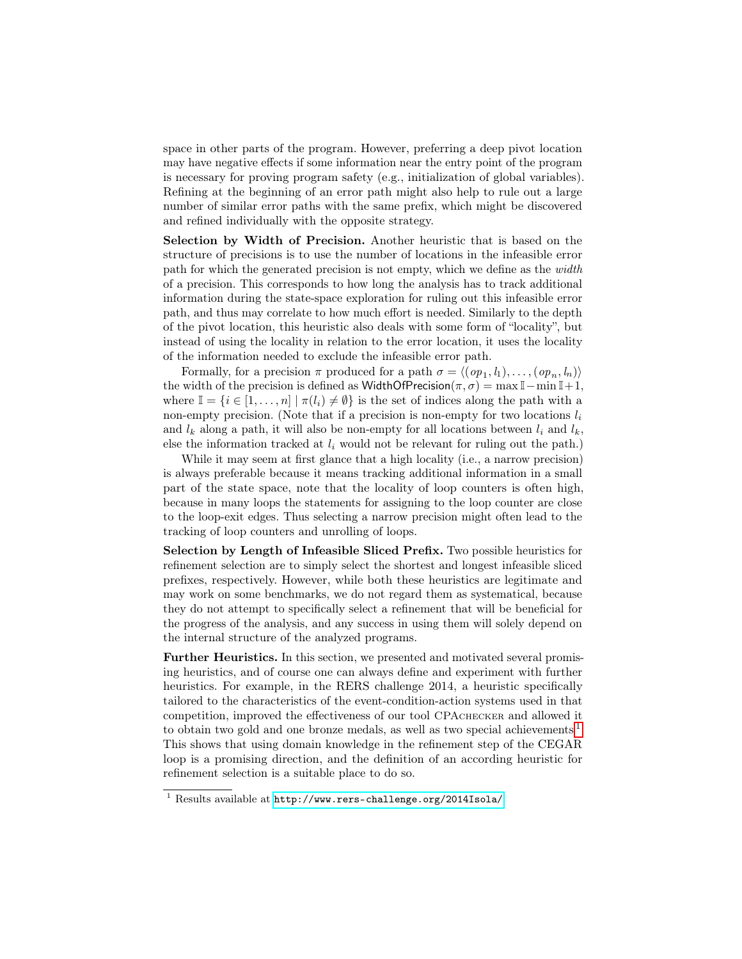space in other parts of the program. However, preferring a deep pivot location may have negative effects if some information near the entry point of the program is necessary for proving program safety (e.g., initialization of global variables). Refining at the beginning of an error path might also help to rule out a large number of similar error paths with the same prefix, which might be discovered and refined individually with the opposite strategy.

Selection by Width of Precision. Another heuristic that is based on the structure of precisions is to use the number of locations in the infeasible error path for which the generated precision is not empty, which we define as the width of a precision. This corresponds to how long the analysis has to track additional information during the state-space exploration for ruling out this infeasible error path, and thus may correlate to how much effort is needed. Similarly to the depth of the pivot location, this heuristic also deals with some form of "locality", but instead of using the locality in relation to the error location, it uses the locality of the information needed to exclude the infeasible error path.

Formally, for a precision  $\pi$  produced for a path  $\sigma = \langle (op_1, l_1), \ldots, (op_n, l_n) \rangle$ the width of the precision is defined as WidthOfPrecision( $\pi, \sigma$ ) = max I – min I + 1, where  $\mathbb{I} = \{i \in [1, \ldots, n] \mid \pi(l_i) \neq \emptyset\}$  is the set of indices along the path with a non-empty precision. (Note that if a precision is non-empty for two locations  $l_i$ and  $l_k$  along a path, it will also be non-empty for all locations between  $l_i$  and  $l_k$ , else the information tracked at  $l_i$  would not be relevant for ruling out the path.)

While it may seem at first glance that a high locality (i.e., a narrow precision) is always preferable because it means tracking additional information in a small part of the state space, note that the locality of loop counters is often high, because in many loops the statements for assigning to the loop counter are close to the loop-exit edges. Thus selecting a narrow precision might often lead to the tracking of loop counters and unrolling of loops.

Selection by Length of Infeasible Sliced Prefix. Two possible heuristics for refinement selection are to simply select the shortest and longest infeasible sliced prefixes, respectively. However, while both these heuristics are legitimate and may work on some benchmarks, we do not regard them as systematical, because they do not attempt to specifically select a refinement that will be beneficial for the progress of the analysis, and any success in using them will solely depend on the internal structure of the analyzed programs.

Further Heuristics. In this section, we presented and motivated several promising heuristics, and of course one can always define and experiment with further heuristics. For example, in the RERS challenge 2014, a heuristic specifically tailored to the characteristics of the event-condition-action systems used in that competition, improved the effectiveness of our tool CPAchecker and allowed it to obtain two gold and one bronze medals, as well as two special achievements<sup>[1](#page-9-0)</sup>. This shows that using domain knowledge in the refinement step of the CEGAR loop is a promising direction, and the definition of an according heuristic for refinement selection is a suitable place to do so.

<span id="page-9-0"></span><sup>1</sup> Results available at <http://www.rers-challenge.org/2014Isola/>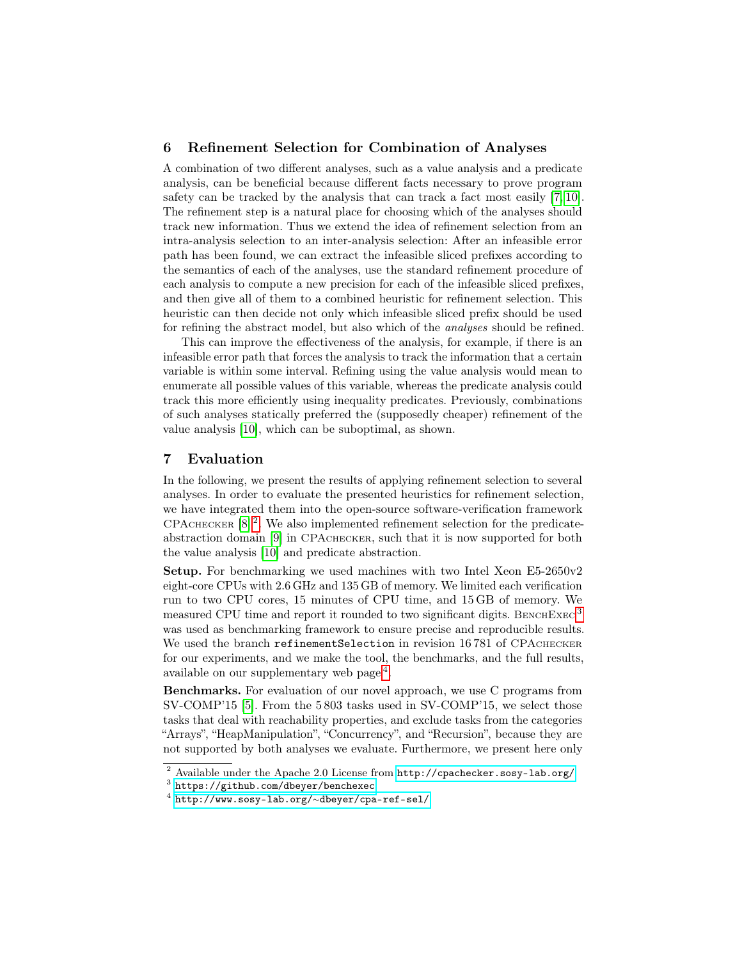## <span id="page-10-3"></span>6 Refinement Selection for Combination of Analyses

A combination of two different analyses, such as a value analysis and a predicate analysis, can be beneficial because different facts necessary to prove program safety can be tracked by the analysis that can track a fact most easily [\[7,](#page-17-18) [10\]](#page-17-11). The refinement step is a natural place for choosing which of the analyses should track new information. Thus we extend the idea of refinement selection from an intra-analysis selection to an inter-analysis selection: After an infeasible error path has been found, we can extract the infeasible sliced prefixes according to the semantics of each of the analyses, use the standard refinement procedure of each analysis to compute a new precision for each of the infeasible sliced prefixes, and then give all of them to a combined heuristic for refinement selection. This heuristic can then decide not only which infeasible sliced prefix should be used for refining the abstract model, but also which of the analyses should be refined.

This can improve the effectiveness of the analysis, for example, if there is an infeasible error path that forces the analysis to track the information that a certain variable is within some interval. Refining using the value analysis would mean to enumerate all possible values of this variable, whereas the predicate analysis could track this more efficiently using inequality predicates. Previously, combinations of such analyses statically preferred the (supposedly cheaper) refinement of the value analysis [\[10\]](#page-17-11), which can be suboptimal, as shown.

### 7 Evaluation

In the following, we present the results of applying refinement selection to several analyses. In order to evaluate the presented heuristics for refinement selection, we have integrated them into the open-source software-verification framework CPACHECKER  $[8]^2$  $[8]^2$  $[8]^2$ . We also implemented refinement selection for the predicateabstraction domain [\[9\]](#page-17-16) in CPAchecker, such that it is now supported for both the value analysis [\[10\]](#page-17-11) and predicate abstraction.

Setup. For benchmarking we used machines with two Intel Xeon E5-2650v2 eight-core CPUs with 2.6 GHz and 135 GB of memory. We limited each verification run to two CPU cores, 15 minutes of CPU time, and 15 GB of memory. We measured CPU time and report it rounded to two significant digits. BENCHEXEC  $3$ was used as benchmarking framework to ensure precise and reproducible results. We used the branch refinementSelection in revision 16781 of CPACHECKER for our experiments, and we make the tool, the benchmarks, and the full results, available on our supplementary web page<sup>[4](#page-10-2)</sup>.

Benchmarks. For evaluation of our novel approach, we use C programs from SV-COMP'15 [\[5\]](#page-17-19). From the 5 803 tasks used in SV-COMP'15, we select those tasks that deal with reachability properties, and exclude tasks from the categories "Arrays", "HeapManipulation", "Concurrency", and "Recursion", because they are not supported by both analyses we evaluate. Furthermore, we present here only

<span id="page-10-0"></span><sup>2</sup> Available under the Apache 2.0 License from <http://cpachecker.sosy-lab.org/>

<span id="page-10-1"></span> $^3$  <https://github.com/dbeyer/benchexec>

<span id="page-10-2"></span><sup>4</sup> [http://www.sosy-lab.org/](http://www.sosy-lab.org/~dbeyer/cpa-ref-sel/)∼dbeyer/cpa-ref-sel/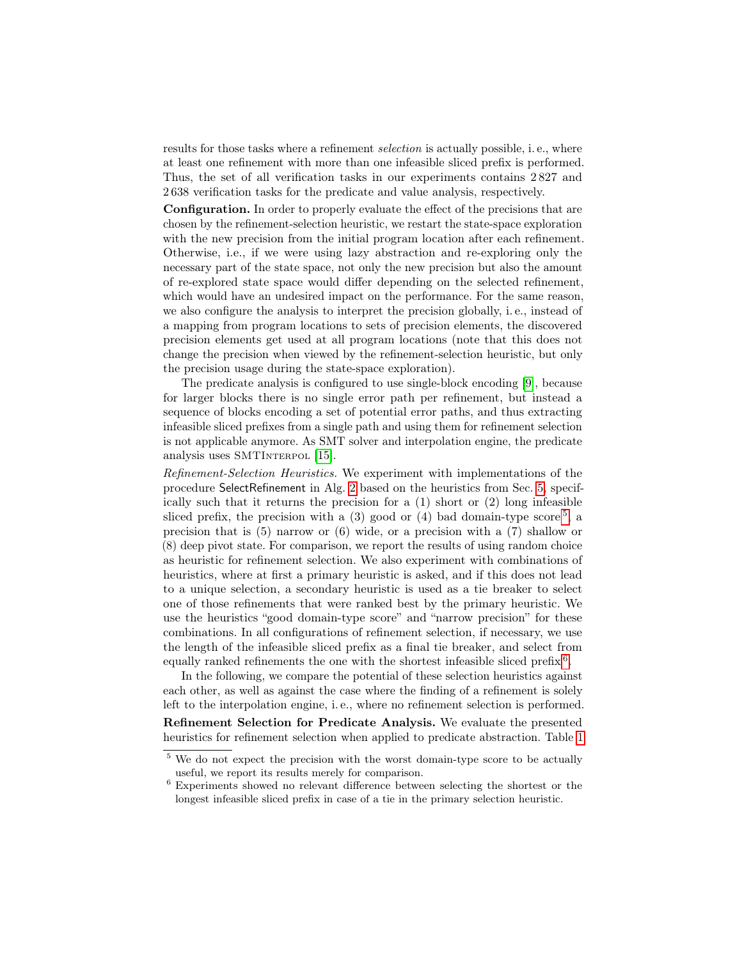results for those tasks where a refinement *selection* is actually possible, i.e., where at least one refinement with more than one infeasible sliced prefix is performed. Thus, the set of all verification tasks in our experiments contains 2 827 and 2 638 verification tasks for the predicate and value analysis, respectively.

Configuration. In order to properly evaluate the effect of the precisions that are chosen by the refinement-selection heuristic, we restart the state-space exploration with the new precision from the initial program location after each refinement. Otherwise, i.e., if we were using lazy abstraction and re-exploring only the necessary part of the state space, not only the new precision but also the amount of re-explored state space would differ depending on the selected refinement, which would have an undesired impact on the performance. For the same reason, we also configure the analysis to interpret the precision globally, i. e., instead of a mapping from program locations to sets of precision elements, the discovered precision elements get used at all program locations (note that this does not change the precision when viewed by the refinement-selection heuristic, but only the precision usage during the state-space exploration).

The predicate analysis is configured to use single-block encoding [\[9\]](#page-17-16), because for larger blocks there is no single error path per refinement, but instead a sequence of blocks encoding a set of potential error paths, and thus extracting infeasible sliced prefixes from a single path and using them for refinement selection is not applicable anymore. As SMT solver and interpolation engine, the predicate analysis uses SMTINTERPOL [\[15\]](#page-17-20).

Refinement-Selection Heuristics. We experiment with implementations of the procedure SelectRefinement in Alg. [2](#page-6-0) based on the heuristics from Sec. [5,](#page-7-0) specifically such that it returns the precision for a  $(1)$  short or  $(2)$  long infeasible sliced prefix, the precision with a  $(3)$  good or  $(4)$  bad domain-type score<sup>[5](#page-11-0)</sup>, a precision that is (5) narrow or (6) wide, or a precision with a (7) shallow or (8) deep pivot state. For comparison, we report the results of using random choice as heuristic for refinement selection. We also experiment with combinations of heuristics, where at first a primary heuristic is asked, and if this does not lead to a unique selection, a secondary heuristic is used as a tie breaker to select one of those refinements that were ranked best by the primary heuristic. We use the heuristics "good domain-type score" and "narrow precision" for these combinations. In all configurations of refinement selection, if necessary, we use the length of the infeasible sliced prefix as a final tie breaker, and select from equally ranked refinements the one with the shortest infeasible sliced prefix  $6$ .

In the following, we compare the potential of these selection heuristics against each other, as well as against the case where the finding of a refinement is solely left to the interpolation engine, i. e., where no refinement selection is performed. Refinement Selection for Predicate Analysis. We evaluate the presented heuristics for refinement selection when applied to predicate abstraction. Table [1](#page-12-0)

<span id="page-11-0"></span><sup>&</sup>lt;sup>5</sup> We do not expect the precision with the worst domain-type score to be actually useful, we report its results merely for comparison.

<span id="page-11-1"></span> $6$  Experiments showed no relevant difference between selecting the shortest or the longest infeasible sliced prefix in case of a tie in the primary selection heuristic.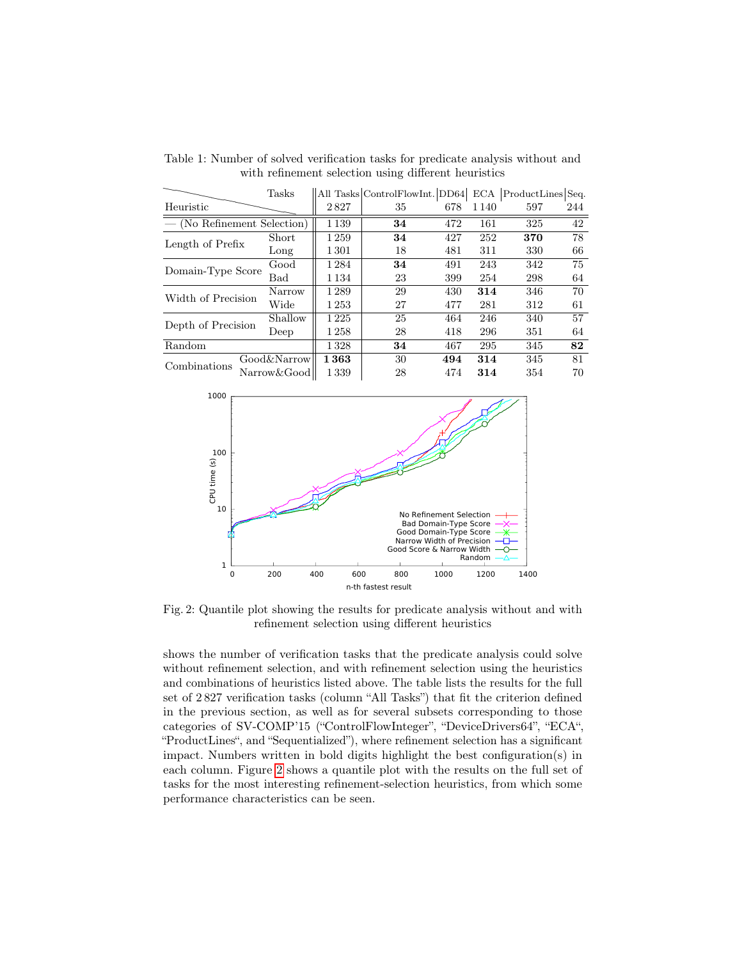|                           | Tasks       |         | All Tasks ControlFlowInt. DD64 |     |         | ECA ProductLines Seq. |     |
|---------------------------|-------------|---------|--------------------------------|-----|---------|-----------------------|-----|
| Heuristic                 |             | 2827    | 35                             | 678 | 1 1 4 0 | 597                   | 244 |
| (No Refinement Selection) |             | 1 1 3 9 | 34                             | 472 | 161     | 325                   | 42  |
| Length of Prefix          | Short       | 1259    | 34                             | 427 | 252     | 370                   | 78  |
|                           | Long        | 1301    | 18                             | 481 | 311     | 330                   | 66  |
| Domain-Type Score         | Good        | 1284    | 34                             | 491 | 243     | 342                   | 75  |
|                           | Bad         | 1 1 3 4 | 23                             | 399 | 254     | 298                   | 64  |
| Width of Precision        | Narrow      | 1289    | 29                             | 430 | 314     | 346                   | 70  |
|                           | Wide        | 1253    | 27                             | 477 | 281     | 312                   | 61  |
| Depth of Precision        | Shallow     | 1225    | 25                             | 464 | 246     | 340                   | 57  |
|                           | Deep        | 1 258   | 28                             | 418 | 296     | 351                   | 64  |
| Random                    |             | 1328    | 34                             | 467 | 295     | 345                   | 82  |
| Combinations              | Good&Narrow | 1363    | 30                             | 494 | 314     | 345                   | 81  |
|                           | Narrow&Good | 1339    | 28                             | 474 | 314     | 354                   | 70  |

<span id="page-12-0"></span>Table 1: Number of solved verification tasks for predicate analysis without and with refinement selection using different heuristics

<span id="page-12-1"></span>

Fig. 2: Quantile plot showing the results for predicate analysis without and with refinement selection using different heuristics

shows the number of verification tasks that the predicate analysis could solve without refinement selection, and with refinement selection using the heuristics and combinations of heuristics listed above. The table lists the results for the full set of 2 827 verification tasks (column "All Tasks") that fit the criterion defined in the previous section, as well as for several subsets corresponding to those categories of SV-COMP'15 ("ControlFlowInteger", "DeviceDrivers64", "ECA", "ProductLines", and "Sequentialized"), where refinement selection has a significant impact. Numbers written in bold digits highlight the best configuration(s) in each column. Figure [2](#page-12-1) shows a quantile plot with the results on the full set of tasks for the most interesting refinement-selection heuristics, from which some performance characteristics can be seen.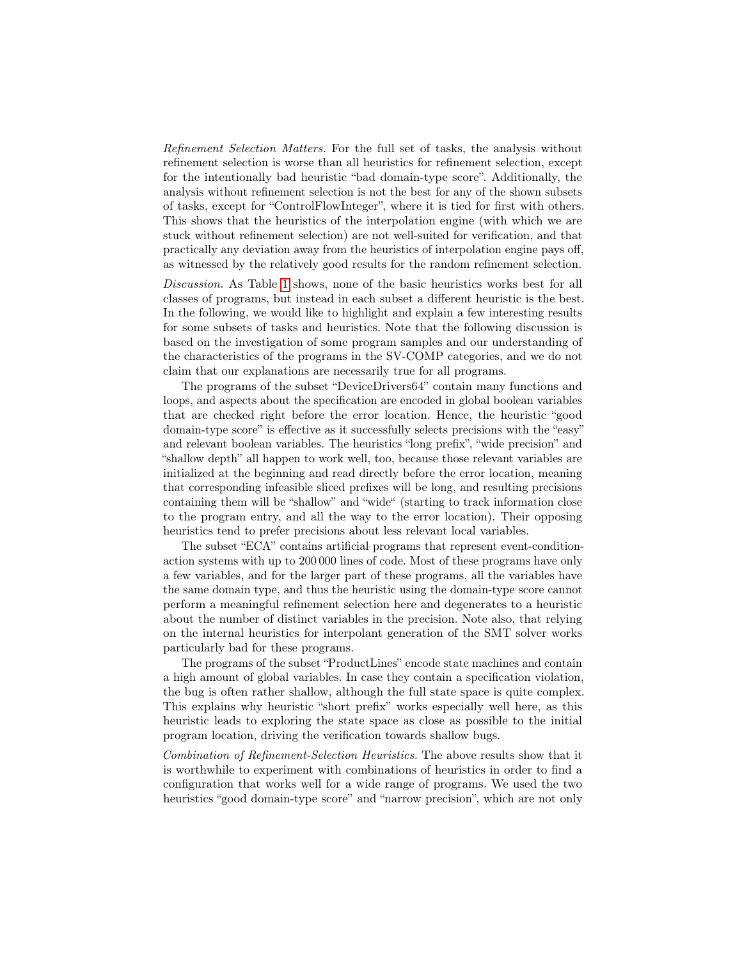Refinement Selection Matters. For the full set of tasks, the analysis without refinement selection is worse than all heuristics for refinement selection, except for the intentionally bad heuristic "bad domain-type score". Additionally, the analysis without refinement selection is not the best for any of the shown subsets of tasks, except for "ControlFlowInteger", where it is tied for first with others. This shows that the heuristics of the interpolation engine (with which we are stuck without refinement selection) are not well-suited for verification, and that practically any deviation away from the heuristics of interpolation engine pays off, as witnessed by the relatively good results for the random refinement selection.

Discussion. As Table [1](#page-12-0) shows, none of the basic heuristics works best for all classes of programs, but instead in each subset a different heuristic is the best. In the following, we would like to highlight and explain a few interesting results for some subsets of tasks and heuristics. Note that the following discussion is based on the investigation of some program samples and our understanding of the characteristics of the programs in the SV-COMP categories, and we do not claim that our explanations are necessarily true for all programs.

The programs of the subset "DeviceDrivers64" contain many functions and loops, and aspects about the specification are encoded in global boolean variables that are checked right before the error location. Hence, the heuristic "good domain-type score" is effective as it successfully selects precisions with the "easy" and relevant boolean variables. The heuristics "long prefix", "wide precision" and "shallow depth" all happen to work well, too, because those relevant variables are initialized at the beginning and read directly before the error location, meaning that corresponding infeasible sliced prefixes will be long, and resulting precisions containing them will be "shallow" and "wide" (starting to track information close to the program entry, and all the way to the error location). Their opposing heuristics tend to prefer precisions about less relevant local variables.

The subset "ECA" contains artificial programs that represent event-conditionaction systems with up to 200 000 lines of code. Most of these programs have only a few variables, and for the larger part of these programs, all the variables have the same domain type, and thus the heuristic using the domain-type score cannot perform a meaningful refinement selection here and degenerates to a heuristic about the number of distinct variables in the precision. Note also, that relying on the internal heuristics for interpolant generation of the SMT solver works particularly bad for these programs.

The programs of the subset "ProductLines" encode state machines and contain a high amount of global variables. In case they contain a specification violation, the bug is often rather shallow, although the full state space is quite complex. This explains why heuristic "short prefix" works especially well here, as this heuristic leads to exploring the state space as close as possible to the initial program location, driving the verification towards shallow bugs.

Combination of Refinement-Selection Heuristics. The above results show that it is worthwhile to experiment with combinations of heuristics in order to find a configuration that works well for a wide range of programs. We used the two heuristics "good domain-type score" and "narrow precision", which are not only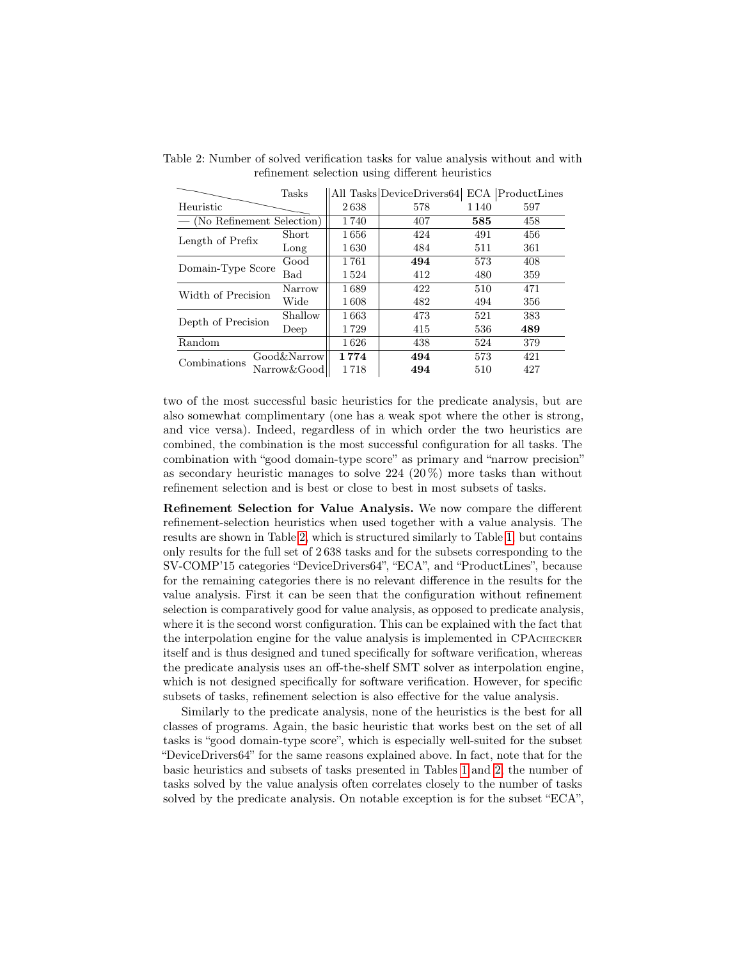|                               | Tasks        |      | All Tasks DeviceDrivers64  ECA  ProductLines |         |     |
|-------------------------------|--------------|------|----------------------------------------------|---------|-----|
| Heuristic                     |              | 2638 | 578                                          | 1 1 4 0 | 597 |
| $-$ (No Refinement Selection) |              | 1740 | 407                                          | 585     | 458 |
| Length of Prefix              | <b>Short</b> | 1656 | 424                                          | 491     | 456 |
|                               | Long         | 1630 | 484                                          | 511     | 361 |
| Domain-Type Score             | Good         | 1761 | 494                                          | 573     | 408 |
|                               | Bad          | 1524 | 412                                          | 480     | 359 |
| Width of Precision            | Narrow       | 1689 | 422                                          | 510     | 471 |
|                               | Wide         | 1608 | 482                                          | 494     | 356 |
| Depth of Precision            | Shallow      | 1663 | 473                                          | 521     | 383 |
|                               | Deep         | 1729 | 415                                          | 536     | 489 |
| Random                        |              | 1626 | 438                                          | 524     | 379 |
| Combinations                  | Good&Narrow  | 1774 | 494                                          | 573     | 421 |
|                               | Narrow&Good  | 1718 | 494                                          | 510     | 427 |

<span id="page-14-0"></span>Table 2: Number of solved verification tasks for value analysis without and with refinement selection using different heuristics  $\overline{a}$ 

two of the most successful basic heuristics for the predicate analysis, but are also somewhat complimentary (one has a weak spot where the other is strong, and vice versa). Indeed, regardless of in which order the two heuristics are combined, the combination is the most successful configuration for all tasks. The combination with "good domain-type score" as primary and "narrow precision" as secondary heuristic manages to solve  $224$   $(20\%)$  more tasks than without refinement selection and is best or close to best in most subsets of tasks.

Refinement Selection for Value Analysis. We now compare the different refinement-selection heuristics when used together with a value analysis. The results are shown in Table [2,](#page-14-0) which is structured similarly to Table [1,](#page-12-0) but contains only results for the full set of 2 638 tasks and for the subsets corresponding to the SV-COMP'15 categories "DeviceDrivers64", "ECA", and "ProductLines", because for the remaining categories there is no relevant difference in the results for the value analysis. First it can be seen that the configuration without refinement selection is comparatively good for value analysis, as opposed to predicate analysis, where it is the second worst configuration. This can be explained with the fact that the interpolation engine for the value analysis is implemented in CPAchecker itself and is thus designed and tuned specifically for software verification, whereas the predicate analysis uses an off-the-shelf SMT solver as interpolation engine, which is not designed specifically for software verification. However, for specific subsets of tasks, refinement selection is also effective for the value analysis.

Similarly to the predicate analysis, none of the heuristics is the best for all classes of programs. Again, the basic heuristic that works best on the set of all tasks is "good domain-type score", which is especially well-suited for the subset "DeviceDrivers64" for the same reasons explained above. In fact, note that for the basic heuristics and subsets of tasks presented in Tables [1](#page-12-0) and [2,](#page-14-0) the number of tasks solved by the value analysis often correlates closely to the number of tasks solved by the predicate analysis. On notable exception is for the subset "ECA",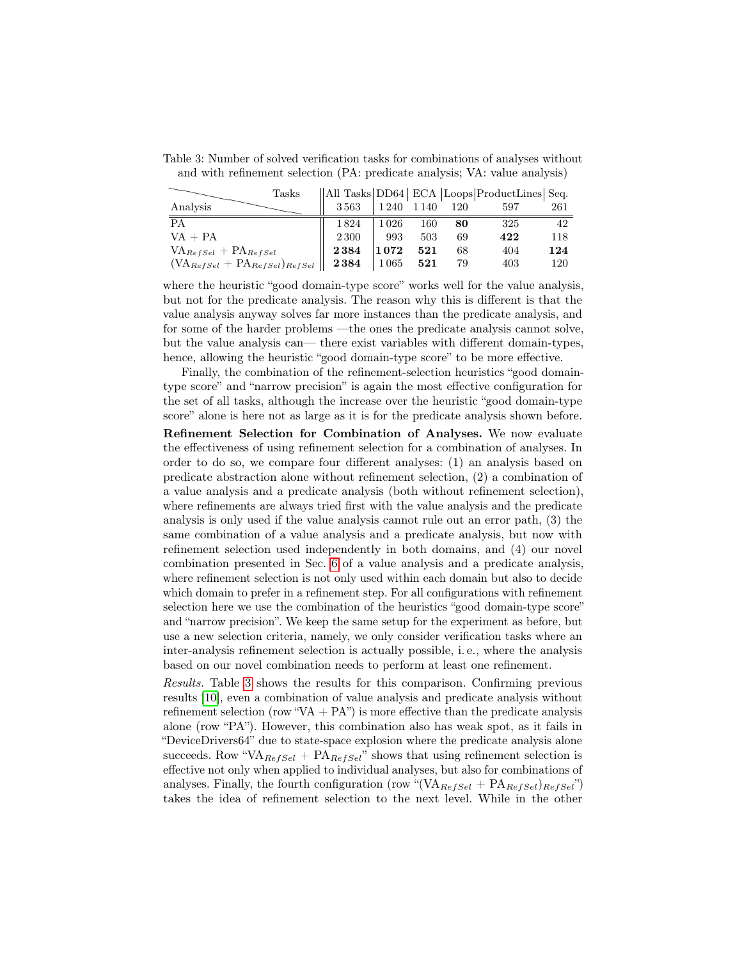| Tasks                                                                     |          |             |     |     | All Tasks DD64  ECA  Loops ProductLines  Seq. |     |
|---------------------------------------------------------------------------|----------|-------------|-----|-----|-----------------------------------------------|-----|
| Analysis                                                                  | $3\,563$ | 1 240 1 140 |     | 120 | 597                                           | 261 |
| PA                                                                        | 1824     | 1026        | 160 | 80  | 325                                           | 42  |
| $VA + PA$                                                                 | 2 3 0 0  | 993         | 503 | 69  | 422                                           | 118 |
| $VA_{RefSel} + PA_{RefSel}$                                               | 2384     | 1072        | 521 | 68  | 404                                           | 124 |
| $(\text{VA}_{\text{RefSel}} + \text{PA}_{\text{RefSel}})_{\text{RefSel}}$ | 2384     | 1065        | 521 | 79  | 403                                           | 120 |

<span id="page-15-0"></span>Table 3: Number of solved verification tasks for combinations of analyses without and with refinement selection (PA: predicate analysis; VA: value analysis)

where the heuristic "good domain-type score" works well for the value analysis, but not for the predicate analysis. The reason why this is different is that the value analysis anyway solves far more instances than the predicate analysis, and for some of the harder problems —the ones the predicate analysis cannot solve, but the value analysis can— there exist variables with different domain-types, hence, allowing the heuristic "good domain-type score" to be more effective.

Finally, the combination of the refinement-selection heuristics "good domaintype score" and "narrow precision" is again the most effective configuration for the set of all tasks, although the increase over the heuristic "good domain-type score" alone is here not as large as it is for the predicate analysis shown before.

Refinement Selection for Combination of Analyses. We now evaluate the effectiveness of using refinement selection for a combination of analyses. In order to do so, we compare four different analyses: (1) an analysis based on predicate abstraction alone without refinement selection, (2) a combination of a value analysis and a predicate analysis (both without refinement selection), where refinements are always tried first with the value analysis and the predicate analysis is only used if the value analysis cannot rule out an error path, (3) the same combination of a value analysis and a predicate analysis, but now with refinement selection used independently in both domains, and (4) our novel combination presented in Sec. [6](#page-10-3) of a value analysis and a predicate analysis, where refinement selection is not only used within each domain but also to decide which domain to prefer in a refinement step. For all configurations with refinement selection here we use the combination of the heuristics "good domain-type score" and "narrow precision". We keep the same setup for the experiment as before, but use a new selection criteria, namely, we only consider verification tasks where an inter-analysis refinement selection is actually possible, i. e., where the analysis based on our novel combination needs to perform at least one refinement.

Results. Table [3](#page-15-0) shows the results for this comparison. Confirming previous results [\[10\]](#page-17-11), even a combination of value analysis and predicate analysis without refinement selection (row "VA +  $PA$ ") is more effective than the predicate analysis alone (row "PA"). However, this combination also has weak spot, as it fails in "DeviceDrivers64" due to state-space explosion where the predicate analysis alone succeeds. Row "VA<sub>RefSel</sub> + PA<sub>RefSel</sub>" shows that using refinement selection is effective not only when applied to individual analyses, but also for combinations of analyses. Finally, the fourth configuration (row "(VA $_{RefSel}$  +  $PA_{RefSel}$ ) $_{RefSel}$ ") takes the idea of refinement selection to the next level. While in the other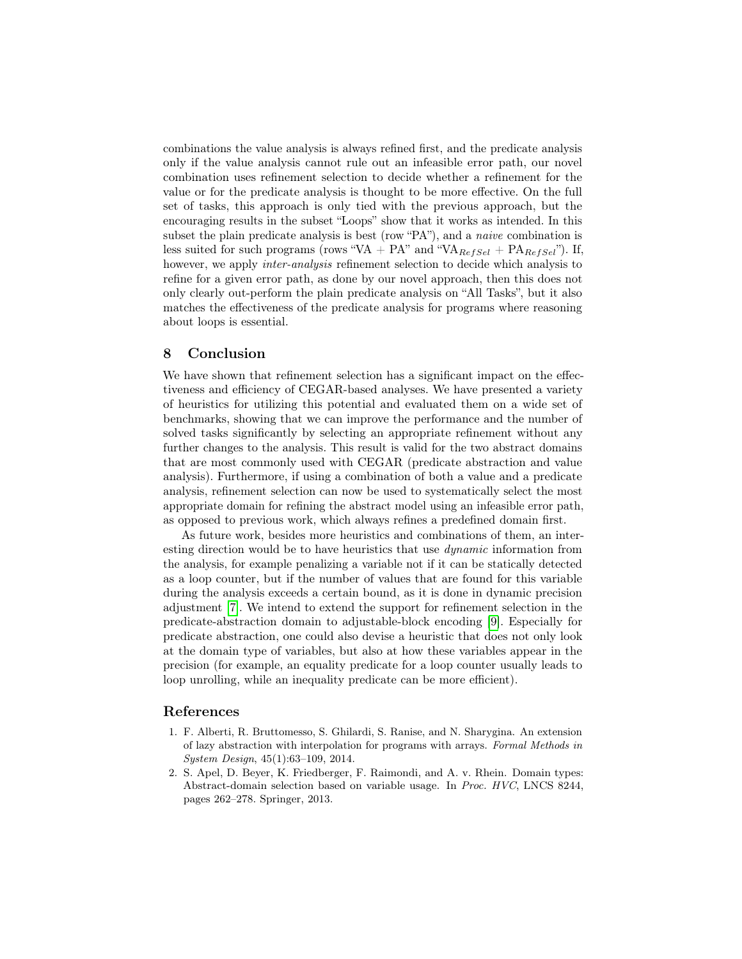combinations the value analysis is always refined first, and the predicate analysis only if the value analysis cannot rule out an infeasible error path, our novel combination uses refinement selection to decide whether a refinement for the value or for the predicate analysis is thought to be more effective. On the full set of tasks, this approach is only tied with the previous approach, but the encouraging results in the subset "Loops" show that it works as intended. In this subset the plain predicate analysis is best (row "PA"), and a *naive* combination is less suited for such programs (rows "VA + PA" and "VA $_{RefSel}$  + PA $_{RefSel}$ "). If, however, we apply *inter-analysis* refinement selection to decide which analysis to refine for a given error path, as done by our novel approach, then this does not only clearly out-perform the plain predicate analysis on "All Tasks", but it also matches the effectiveness of the predicate analysis for programs where reasoning about loops is essential.

#### 8 Conclusion

We have shown that refinement selection has a significant impact on the effectiveness and efficiency of CEGAR-based analyses. We have presented a variety of heuristics for utilizing this potential and evaluated them on a wide set of benchmarks, showing that we can improve the performance and the number of solved tasks significantly by selecting an appropriate refinement without any further changes to the analysis. This result is valid for the two abstract domains that are most commonly used with CEGAR (predicate abstraction and value analysis). Furthermore, if using a combination of both a value and a predicate analysis, refinement selection can now be used to systematically select the most appropriate domain for refining the abstract model using an infeasible error path, as opposed to previous work, which always refines a predefined domain first.

As future work, besides more heuristics and combinations of them, an interesting direction would be to have heuristics that use dynamic information from the analysis, for example penalizing a variable not if it can be statically detected as a loop counter, but if the number of values that are found for this variable during the analysis exceeds a certain bound, as it is done in dynamic precision adjustment [\[7\]](#page-17-18). We intend to extend the support for refinement selection in the predicate-abstraction domain to adjustable-block encoding [\[9\]](#page-17-16). Especially for predicate abstraction, one could also devise a heuristic that does not only look at the domain type of variables, but also at how these variables appear in the precision (for example, an equality predicate for a loop counter usually leads to loop unrolling, while an inequality predicate can be more efficient).

#### References

- <span id="page-16-1"></span>1. F. Alberti, R. Bruttomesso, S. Ghilardi, S. Ranise, and N. Sharygina. An extension of lazy abstraction with interpolation for programs with arrays. Formal Methods in System Design, 45(1):63–109, 2014.
- <span id="page-16-0"></span>2. S. Apel, D. Beyer, K. Friedberger, F. Raimondi, and A. v. Rhein. Domain types: Abstract-domain selection based on variable usage. In Proc. HVC, LNCS 8244, pages 262–278. Springer, 2013.